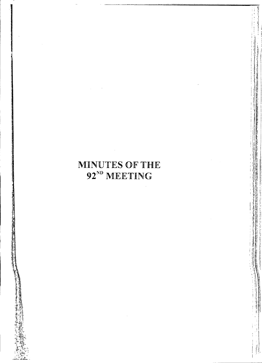# MINUTES OF THE<br>92<sup>ND</sup> MEETING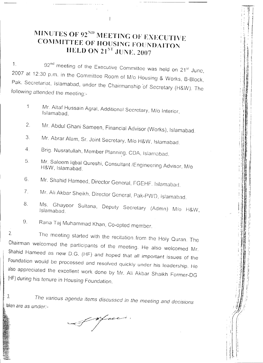# **IMINUTES OF 92<sup>ND</sup> MEETING** OF **EXECUTIVE COMMITTEE OF HOUSING FOUNDAITON HELD ON 21 ST .JUNE, 2007**

92" meeting of the Executive Committee was held on 21<sup>st</sup> June 1. 2007 at 12:30 p.m. in the Committee Room of *Mia* Housing & Works, B-Block, Pak. Secretariat, Islamabad, under the Chairmanship of Secretary (H&W). The following attended *the* meeting:-

- Mr. Abdul Ghani Sameen, Financial Advisor (Works), Islamabad. Mr. Abrar Alam, Sr. Joint Secretary, M/o H&W, Islamabad. Mr. Altaf Hussain Agral, Additional Secretary, *Mia* Interior, Islamabad. Brig. Nusratullah, Member Planning, CDA, Islamabad. Mr. Saleem Iqbal Qureshi, Consultant IEngineering Advisor, *Mia* H&W, Islamabad. Mr. Shahid Hameed, Director General, FGEHF. Islamabad. Mr. Ali Akbar Sheikh, Director General, Pak-PWD, Islamabad. Ms. Ghayoor Sultana, Deputy Secretary (Admn) *Mia* H&W, Islamabad 3. 2. 1 4. 5. 6. 7. 8.
- Rana *Taj* Muhammad Khan, Co-opted member. 9.

The meeting started with the recitation from the Holy Quran The 2. Chairman welcomed the participants of the meeting. He also welcomed Mr. Shahid Hameed as new D.G. (HF) and hoped that all important issues of the Foundation would be processed and resolved quickly under his leadership. He also appreciated the excellent work done by Mr. Ali Akbar Shaikh Former-DG (HF) during *his* tenure in Housing Foundation.

*3. The various Dgenda items discussed in the meeting and decisions , laken* are as *under.'-*

of oface.

<sup>I</sup> ' I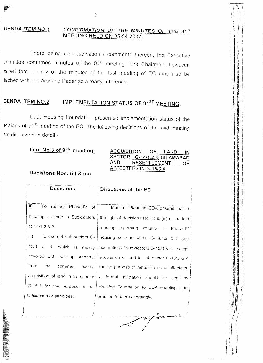#### **GENDA ITEM NO.1** CONFIRMATION OF THE MINUTES OF THE 91st MEETING HELD ON 05-04-2007.

There being no observation / comments thereon, the Executive ommittee confirmed minutes of the 91<sup>st</sup> meeting. The Chairman, however, isired that a copy of the minutes of the last meeting of EC may also be tached with the Working Paper as a ready reference.

#### **IMPLEMENTATION STATUS OF 91ST MEETING. GENDA ITEM NO.2**

D.G. Housing Foundation presented implementation status of the acisions of 91<sup>st</sup> meeting of the EC. The following decisions of the said meeting ere discussed in detail:-

# Item No.3 of 91<sup>st</sup> meeting:

#### **ACQUISITION** OF LAND IN SECTOR G-14/1,2,3, ISLAMABAD **AND** RESETTLEMENT ΟF AFFECTEES IN G-15/3,4

ستعرض

Decisions Nos. (ii) & (iii)

| Decisions                                | Directions of the EC                                                           |  |  |  |
|------------------------------------------|--------------------------------------------------------------------------------|--|--|--|
|                                          |                                                                                |  |  |  |
| $\mathbf{ii}$<br>To restrict Phase-IV of | Member Planning CDA desired that in                                            |  |  |  |
| housing scheme in Sub-sectors.           | the light of decisions No (ii) & (iii) of the last                             |  |  |  |
| $G-14/1, 2 & 3.$                         | meeting regarding limitation of Phase-IV                                       |  |  |  |
| iii).                                    | To exempt sub-sectors G-   housing scheme within G-14/1,2 & 3 and              |  |  |  |
| 15/3<br>8 4, which is mostly             | exemption of sub-sectors G-15/3 & 4, except                                    |  |  |  |
| covered with built up property,          | acquisition of land in sub-sector G-15/3 & 4                                   |  |  |  |
| from<br>the<br>scheme, except            | for the purpose of rehabilitation of affectees.                                |  |  |  |
|                                          | acquisition of land in Sub-sector   a formal intimation should be sent<br>- by |  |  |  |
| G-15,3 for the purpose of re-            | Housing Foundation to CDA enabling it to                                       |  |  |  |
| habilitation of affectees                | proceed further accordingly.                                                   |  |  |  |
|                                          |                                                                                |  |  |  |
|                                          |                                                                                |  |  |  |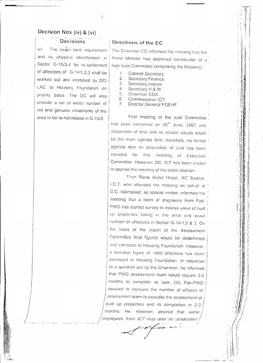## Decision Nos (iv) & (vi)

**Decisions** 

 $\hat{\mathcal{A}}$ 

 $\overline{N}$ Sector G-15/3,4 for re-settlement of affectees of G-14/1,2,3 shall be worked out and intimated by DC/ LAC to Housing Foundation on priority basis. The DC will also provide a list of exact number of old and genuine inhabitants of the area to be re-habilitated in G-15/3.

## Directions of the EC

The exact land requirement The Chairman EC informed the meeting that the and its physical identification in Prime Minister has approved constitution of a high level Committee comprising the following:-

- $\mathbf{1}$ **Cabinet Secretary**
- 2. Secretary Finance.
- Secretary Interior. 3
- $\Delta$ Secretary H & W.
- 5. Chairman CDA. 6.
- Commissioner ICT.  $7<sub>1</sub>$ Director General FGEHF

First meeting of the said Committee has been convened on 26th June, 2007 and acquisition of land and its related issues would. be the main agenda item, therefore, no formal 1 agenda item on acquisition of land has been included for this meeting of the police of the police of the content of the content of the content of the content of the content of the content of the content of the content of the content of the content of the content of the content of the content Executive Committee. However, DC, ICT has been invited to apprise the meeting of the latest position.

Then Rana Abdul Hayat, AC Saddar. LC.T. who attended the meeting on behalf of D.C. Islamabad, as special invitee, informed the meeting that a team of engineers from Pak-PWD has started survey to assess value of built up properties falling in the area and exact number of affectees in Sector G-14/1,2 & 3. On the basis of the report of the Assessment Committee final figures would be determined and intimated to Housing Foundation. However, a tentative figure of 1800 affectees has been conveyed to Housing Foundation. In response to a question put by the Chairman, he informed that PWD assessment team would require 3-6 months to complete its task. DG Pak-PWD assured to increase the number of officers of assessment team to expedite the assessment of built up properties and its completion in 2-3 months. He, however, desired that some employees from ICT may also be associated ,

 $\mathcal{L}$  and  $\mathcal{L}$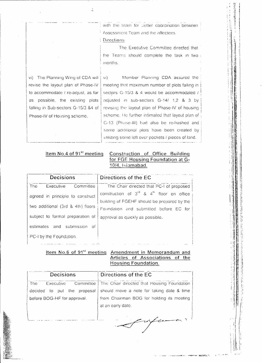with the team for better coordination between Assessment Team and the affectees Directions

The Executive Committee directed that the Teams should complete the task in two a months.

vi) The Planning Wing of CDA will revise the layout plan of Phase-IV to accommodate / re-adjust, as far as possible, the existing plots falling in Sub-sectors G-15/3 &4 of Phase-IV of Housing scheme.

Member Planning CDA assured the  $\overline{\mathsf{v}}$ i) meeting that maximum number of plots falling in sectors G-15/3 & 4 would be accommodated / adjusted in sub-sectors G-14/ 1,2 & 3 by revising the layout plan of Phase-IV of housing scheme. He further intimated that layout plan of G-13 (Phase-III) had also be re-hashed and some additional plots have been created by utilizing some left over pockets / pieces of land.

# Item No.4 of 91<sup>st</sup> meeting

## Construction of Office Building for FGE Housing Foundation at G-10/4, Islamabad.

| <b>Decisions</b>                  | Directions of the EC                                |  |  |  |  |
|-----------------------------------|-----------------------------------------------------|--|--|--|--|
| The.<br>Committee<br>Executive    | The Chair directed that PC-I of proposed            |  |  |  |  |
| agreed in principle to construct  | construction of $3^{rd}$ & $4^{th}$ floor on office |  |  |  |  |
|                                   | building of FGEHF should be prepared by the         |  |  |  |  |
| two additional (3rd & 4th) floors | Foundation and submitted before EC for              |  |  |  |  |
| subject to formal preparation of  | approval as quickly as possible.                    |  |  |  |  |
| estimates and submission of       |                                                     |  |  |  |  |
| PC-I by the Foundation.           |                                                     |  |  |  |  |

## Item No.6 of 91<sup>st</sup> meeting Amendment in Memorandum and Articles of Associations of the Housing Foundation.

| <b>Decisions</b>              | Directions of the EC                                   |  |  |  |
|-------------------------------|--------------------------------------------------------|--|--|--|
| Executive<br>The <sub>.</sub> | Committee   The Chair directed that Housing Foundation |  |  |  |
| decided to put the proposal   | should move a note for taking date & time              |  |  |  |
| before BOG-HF for approval.   | from Chairman BOG for holding its meeting              |  |  |  |
|                               | at an early date.                                      |  |  |  |
|                               |                                                        |  |  |  |
|                               | <b>Contract Contract Contract</b>                      |  |  |  |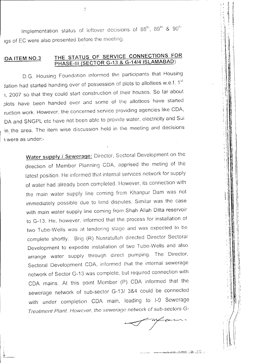Implementation status of leftover decisions of  $88^{\mathrm{m}}$ ,  $89^{\mathrm{m}}$  &  $90^{\mathrm{m}}$ 19S of EC were also presented before the meeting.

Š

## **THE STATUS OF SERVICE CONNECTIONS FOR PHASE-III (SECTOR G-13 & G-14/4 ISLAMABAD) IDA ITEM NO.3**

D.G. Housing Foundation informed the participants that Housing Jation had started handing over of possession of plots to allottees w.e.f.  $1<sup>st</sup>$ 1, 2007 so that they could start construction of their houses. So far about plots have been handed over and some of the allottees have started ruction work. However, the concerned service providing agencies like CDA, DA and SNGPL etc have not been able to provide water, electricity and Sui in the area. The item wise discussion held in the meeting and decisions 1 were as under:-

> **Water supply / Sewerage:** Director, Sectoral Development on the direction of Member Planning CDA, apprised the meting of the latest position. He informed that internal services network for supply of water had already been completed. However, its connection with the main water supply line coming from Khanpur Dam was not immediately possible due to land disputes. Similar was the case with main water supply line coming from Shah Allah Ditta reservoir to G-13. He. however, informed that the process for installation of two Tube-Wells was at tendering stage and was expected to be complete shortly. Brig (R) Nusratullah directed Director Sectoral Development to expedite installation of two Tube-Wells and also arrange water supply through direct pumping. The Director, Sectoral Development CDA, informed that the internal sewerage network of Sector G-13 was complete, but required connection with CDA mains. At this point Member (P) CDA informed that the sewerage network of sub-sector G-13/ 3&4 could be connected with under completion CDA main, leading to I-9 Sewerage *Treatment Plant. However, the sewerage network* of sub-sectors G-

 $- c \epsilon$ 

 $, \cdot$  $\mathbb{R}$  $\cdot$  , , .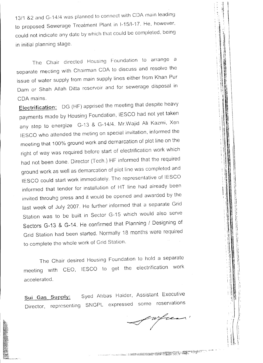13/1 &2 and G-14/4 was planned to connect with CDA main leading to proposed Sewerage Treatment Plant in 1-15/1-17. He, however, could not indicate any date by which that could be completed, being in initial planning stage.

The Chair directed Housing Foundation to arrange a separate meeting with Chairman CDA to discuss and resolve the issue of water supply from main supply lines either from Khan Pur Dam or Shah Allah Ditta reservoir and for sewerage disposal in COA mains.

Electrification: DG (HF) apprised the meeting that despite heavy payments made by Housing Foundation, IESCO had not yet taken any step to energize G-13 & G-14/4. Mr.Wajid Ali Kazmi, Xen IESCO who attended the meting on special invitation, informed the meeting that 100% ground work and demarcation of plot line on the right of way was required before start of electrification work which had not been done. Director (Tech.) HF informed that the required ground work as well as demarcation of plot line was completed and IESCO could start work immediately. The representative of IESCO informed that tender for installation of HT line had already been invited throuhg press and it would be opened and awarded by the last week of July 2007. He further' informed that a separate Grid Station was to be built in Sector G-15 which would also serve Sectors 8-13 & 8-14. He confirmed that Planning / Designing of Grid Station had been started, Normally 18 months were required to complete the whole work of Grid Station.

The Chair desired Housing Foundation to hold a separate meeting with CEO, IESCO to get the electrification work accelerated.

Sui Gas Supply: Syed Abbas Haider, Assistant Executive Director, representing SNGPL expressed some reservations

wfrear'

\  $\mathbf{i}$ , i  $\mathbf{0}$  if  $\mathbb{H}$   $\rightarrow$ ,  $\mathbf{I} \cdot \mathbf{I}$ 

 $\mathbf l$ 

., '  $\blacksquare$  $\,$  ; ; ; ; ; ; ; ; ; ; ; ; ;  $\mathbf{u} \in \mathbb{R}^n$  $\cdot$  :  $\parallel \parallel$   $\parallel$ ' I I II | I  $\|\|\cdot\|$  $\cdot$  in Fig.  $\cdots$  . If  $\mathbb{R}^n \longrightarrow \mathbb{R}$ :  $\parallel$  1  $\parallel$   $\parallel$   $\parallel$ 

> $: \; \mathbb{N} \rightarrow \mathbb{N}$ : 1 <sup>1</sup>  $\blacksquare$  . If it is a set of  $\blacksquare$ !. I! I  $\mathbb{P} \colon \mathbb{H} \to \mathbb{H}$ ,  $\|\mathbf{l}\|$  ,  $\frac{1}{2}$  in the set  $\frac{1}{2}$   $\frac{1}{2}$   $\frac{1}{2}$   $\frac{1}{2}$ ! \' <sup>I</sup> \! i ! <sup>1</sup> II <sup>d</sup>  $\mathbb{I} \colon \mathbb{N} \to \mathbb{N}$ , III 6. I ill:  $: \mathbb{H} \to \mathbb{H}$  $\cdot$  : 1  $\,$  Hz  $\,$  11  $\,$  Hz  $\,$  $\cdot$  ; 1 II  $\cdot$  II ''I 'II <sup>I</sup><sup>I</sup> \  $\mathbb{R}$  ii  $\mathbb{R}$ , iii  $\mathbb{R}$  . , ,I II ," '. i.l<sup>l</sup> '\ 1.:1  $\cdots$  ii ii

> > $\cdot$  .  $\cdot$  11.  $\mathbb{R}$  $\blacksquare$  , ii iii  $\blacksquare$  ii , 'n ,I II 1  $\frac{1}{\sqrt{2}}$

 $: \mathbb{R} \to \mathbb{R}$ 

 $\cdot$  . The  $\mathbb{R}$ I, '11 "  $\cdot$  11  $\,$  11  $\,$  11 'it '11'1'. I,. t'  $\cdot$  ,  $1\,$  II  $\,$  1  $\,$ , 11 Ii ii'  $\cdot$  1  $\mathbb{R}$  : 1  $\cdot$  $\cdots$  $\cdot$  il II il , ii  $\mathbb{N}$  if  $\cdots$  , in the set  $\frac{1}{2}$  iii ii  $\frac{1}{2}$  $\mathbb{R}$  . If  $\mathbb{R}^n$  is the set of i. II  $\pm$  $: 11\,$  M  $\:$  15  $\:$ : 'i,. \;'  $; \; \vdots \; \vdots$ 

> , I I,

: | Ii :,  $\mathbf{i}$  1 \11  $\mathbf{I}$  $\mathbb{R}$  . " ! II ~I ~~ i'

I ..:  $\cdot$  iii ii : :! I. I,  $\parallel$  II Ii , \ ,\\ \\\ , if if  $\cdot$  :  $\mathbb{Z}$  in the  $\mathbb{R}^n$  is  $\frac{1}{2}$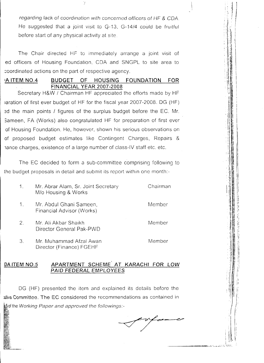*regarding lack* of *coordination with* concerned *officers* of HF & COA He suggested that a joint visit to Q-13. G-14/4 could be fruitful before start of any physical activity at site.

The Chair directed HF to immediately arrange a joint visit of ed officers of Housing Foundation. CDA and SNGPL to site area to :oordinated actions on the part of respective agency.

## IA ITEM NO.4 BUDGET OF HOUSING FOUNDATION FOR **FINANCIAL YEAR 2007-2008**

Secretary H&W / Chairman HF appreciated the efforts made by HF laration of first ever budget of HF for the fiscal year 2007-2008. DG (HF) 3d the main points *I* figures of the surplus budget before the EC. Mr. Sameen, FA (Works) also congratulated HF for preparation of first ever of Housing Foundation. He, however, shown his serious observations on of proposed budget estimates like Contingent Charges, Repairs & lance charges, existence of a large number of class-IV staff etc. etc.

The EC decided to form a sub-committee comprising following to the budget proposals in detail and submit its report within one month:-

| $\mathbf{1}$ . | Mr. Abrar Alam, Sr. Joint Secretary<br>M/o Housing & Works | Chairman |
|----------------|------------------------------------------------------------|----------|
| $\mathbf{1}$ . | Mr. Abdul Ghani Sameen,<br>Financial Advisor (Works)       | Member   |
| 2.             | Mr. Ali Akbar Shaikh<br>Director General Pak-PWD           | Member   |
|                | Mr. Muhammad Afzal Awan                                    | Member   |

Mr. Muhammad Afzal Awan Director (Finance) FGEHF 3.

#### APARTMENT SCHEME' AT KARACHI FOR LOW PAID FEDERAL EMPLOYEES DA ITEM NO.5

DG (HF) presented the item and explained its details before the wive Committee. The EC considered the recommendations as contained in of the *Working Paper and approved the fo//owings:-*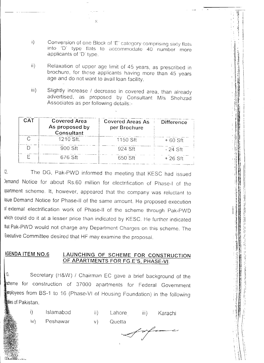Conversion of one Block of 'E' category comprising sixty flats  $\mathbf{i}$ into 'D' type flats to accommodate 40 number more applicants of 'D' type.

 $\overline{\mathbf{x}}$ 

- Relaxation of upper age limit of 45 years, as prescribed in  $\overline{\mathbf{ii}}$ brochure, for those applicants having more than 45 years age and do not want to avail loan facility.
- $iii)$ Slightly increase / decrease in covered area, than already advertised, as proposed by Consultant M/s Shehzad Associates as per following details:-

| CAT | <b>Covered Area</b><br>As proposed by<br>Consultant | Covered Areas As<br>per Brochure | <b>Difference</b> |
|-----|-----------------------------------------------------|----------------------------------|-------------------|
|     | 1210 Sft.                                           | 1150 Sft                         | $+60$ Sft         |
|     | 900 Sft                                             | 924 Sft                          | - 24 Sft          |
|     | 676 Sft                                             | 650 Sft                          | $+26$ Sft         |

The DG, Pak-PWD informed the meeting that KESC had issued  $|2.$ Jemand Notice for about Rs.60 million for electrification of Phase-I of the apartment scheme. It, however, appeared that the company was reluctant to issue Demand Notice for Phase-II of the same amount. He proposed execution of external electrification work of Phase-II of the scheme through Pak-PWD which could do it at a lesser price than indicated by KESC. He further indicated that Pak-PWD would not charge any Department Charges on this scheme. The Executive Committee desired that HF may examine the proposal.

#### **AGENDA ITEM NO.6** LAUNCHING OF SCHEME FOR CONSTRUCTION OF APARTMENTS FOR FG.E'S, PHASE-VI.

Secretary (H&W) / Chairman EC gave a brief background of the  $13.$ scheme for construction of 37000 apartments for Federal Government employees from BS-1 to 16 (Phase-VI of Housing Foundation) in the following collies of Pakistan.



 $iii)$ Karachi

 $\mathsf{iv}$ Peshawar  $V$ Quetta

Lahore

 $\mathbf{ii}$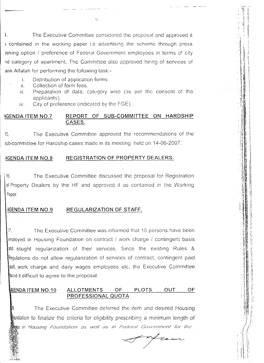$\ddagger$ . The Executive Committee considered the proposal and approved it s contained in the working paper i.e advertising the scheme through press seking option / preference of Federal Government employees in terms of city nd category of apartment. The Committee also approved hiring of services of ank Alfalah for performing the following task:-

- i. Distribution of application forms
- $\dddot{\mathbf{u}}$ . Collection of form fees.
	- Preparation of data, category wise (as per the consent of the iii. applicants).
	- City of preference (indicated by the FGE).  $iv_{1}$

#### REPORT OF SUB-COMMITTEE ON HARDSHIP **AGENDA ITEM NO.7** CASES.

The Executive Committee approved the recommendations of the  $15.$ sub-committee for Hardship cases made in its meeting held on 14-06-2007.

#### REGISTRATION OF PROPERTY DEALERS. AGENDA ITEM NO.8

 $16.$ The Executive Committee discussed the proposal for Registration of Property Dealers by the HF and approved it as contained in the Working Paper.

#### AGENDA ITEM NO.9 REGULARIZATION OF STAFF.

 $17<sub>1</sub>$ The Executive Committee was informed that 19 persons have been employed in Housing Foundation on contract / work charge / contingent basis and sought regularization of their services. Since the existing Rules & Regulations do not allow reqularization of services of contract, contingent paid staff, work charge and daily wages employees etc, the Executive Committee lound it difficult to agree to the proposal.

#### **PLOTS OUT** OF AGENDA ITEM NO.10 **ALLOTMENTS OF** PROFESSIONAL QUOTA.

18. The Executive Committee deferred the item and desired Housing oundation to finalize the criteria for eligibility prescribing a minimum length of tive in Housing Foundation as well as in Federal Government for the

 $rac{1}{\sqrt{2}}$ 

 $\left( \cdot \right)$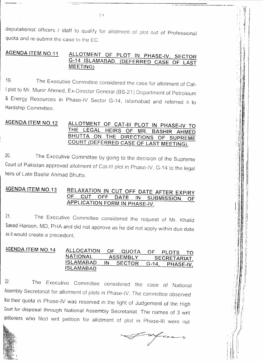deputationist officers / staff to qualify for allotment of plot out of Professional quota and re-submit the case to the EC.

### **AGENDA ITEM NO.11** ALLOTMENT OF PLOT IN PHASE-IV, SECTOR G-14 ISLAMABAD. (DEFERRED CASE OF LAST MEETING)

The Executive Committee considered the case for allotment of Cat- $19 -$ I plot to Mr. Munir Ahmed, Ex-Director General (BS-21) Department of Petroleum & Energy Resources in Phase-IV Sector G-14, Islamabad and referred it to Hardship Committee.

#### **AGENDA ITEM NO.12** ALLOTMENT OF CAT-III PLOT IN PHASE-IV TO THE LEGAL **HEIRS OF** MR. **BASHIR AHMED** BHUTTA ON THE DIRECTIONS OF SUPREME COURT (DEFERRED CASE OF LAST MEETING).

The Executive Committee by going to the decision of the Supreme  $20<sub>1</sub>$ Court of Pakistan approved allotment of Cat-III plot in Phase-IV, G-14 to the legal heirs of Late Bashir Ahmad Bhutta.

#### **AGENDA ITEM NO.13** RELAXATION IN CUT OFF DATE AFTER EXPIRY OF **CUT OFF DATE** IN. **SUBMISSION** OF APPLICATION FORM IN PHASE-IV.

 $21.$ The Executive Committee considered the request of Mr. Khalid Saeed Haroon, MD, PHA and did not approve as he did not apply within due date as it would create a precedent.

| AGENDA ITEM NO.14 | ALLOCATION      |                 | OF QUOTA |              | OF PLOTS <sup>-</sup> |  |
|-------------------|-----------------|-----------------|----------|--------------|-----------------------|--|
|                   | <b>NATIONAL</b> | <b>ASSEMBLY</b> |          | SECRETARIAT, |                       |  |
|                   | ISLAMABAD       | IN              | SECTOR   | $G - 14$     | PHASE-IV.             |  |
|                   | ISLAMABAD       |                 |          |              |                       |  |

 $22.$ The Executive Committee considered the case of National Assembly Secretariat for allotment of plots in Phase-IV. The committee observed that their quota in Phase-IV was reserved in the light of Judgement of the High Court for disposal through National Assembly Secretariat. The names of 3 writ petitioners who filed writ petition for allotment of plot in Phase-III were not



 $\left($  ()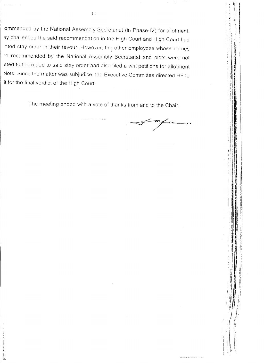ommended by the National Assembly Secretariat (in Phase-IV) for allotment. ey challenged the said recommendation in the High Court and High Court had nted stay order in their favour. However, the other employees whose names re recommended by the National Assembly Secretariat and plots were not itted to them due to said stay order had also filed a writ petitions for allotment plots. Since the matter was subjudice, the Executive Committee directed HF to it for the final verdict of the High Court.

The meeting ended with a vote of thanks from and to the Chair.

 $\left| \ \right|$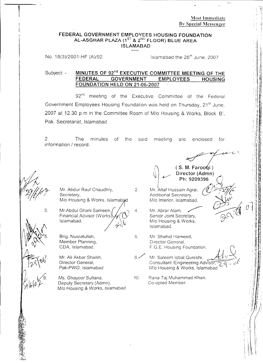**:Vlost Immcdiatc fly Spccinl Messcngcr**

I': ,'1 •~t ,I ; ;<br>;

## **\*\*\*\* FEDERAL GOVERNMENT EMPLOYEES HOUSING FOUNDATION AL-ASGHAR PLAZA** (1ST & 2 ND **FLOOR) BLUE AREA ISLAMABAD**

No. 18(3 )/2001-HF *(A)/92*

Islamabad the  $28<sup>th</sup>$  June, 2007

**MINUTES OF 92nd EXECUTIVE COMMITTEE MEETING OF THE FEDERAL GOVERNMENT EMPLOYEES HOUSING FOUNDATION HELD ON 21-06-2007** Subject: -

92<sup>nd</sup> meeting of the Executive Committee of the Federal Government Employees Housing Foundation was held on Thursday, 21<sup>st</sup> June, 2007 at 12.30 p.m in the Committee Room of *Mia* Housing & Works, Block 'B', Pak. Secretariat, Islamabad.

meeting are enclosed for said of the 2. The minutes information *I* record.

2.

4.

*~lb\O~*

3.

Mr. Abdur Rauf Chaudhry, Secretary, *Mlo* Housing & Works, Islamab

Mr.Abdul Ghani Sameen, Financial Advisor (Works) Islamabad.  $2^{\mathcal{L}}$ 

Brig. Nusratullah, Member Planning, CDA, Islamabad.

Mr. Ali Akbar Shaikh, Director General, Pak-PWD, Islamabad  $\frac{1}{28}$   $\sqrt{06}$   $\frac{1}{2}$ 

> Ms. Ghayoor Sultana, Deputy Secretary (Admn), *Mlo* Housing & Works, *Islamabad*

Ph: 9209396 Mr. Altaf Hussain Agral, Additional Secretary, M/o Interior, Islamabad,

 $(S. M. Farooti)$ Director (Admn)

Mr. Abrar Alam. Senior Joint Secretary, M/o Housing & Works, Islamabad.

Mr. Shahid Hameed, Director General, F.G.E. Housing Foundation. 6,

Mr. Saleem Iqbal Qureshi, Consultant /Engineering Advisor, *M/o* Housing & Works, Islamabad  $8.4$ 

Rana Taj Muhammad Khan, Co-opted Member. 10.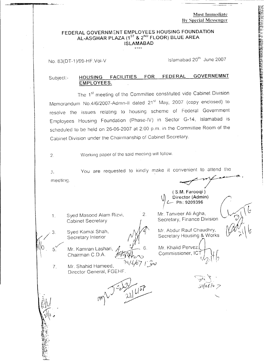**Most Immediate Bv Special Messenger**

# **FEDERAL GOVERNMENT EMPLOYEES HOUSING FOUNDATION AL.ASGHAR PLAZA** (1ST & 2 ND **FLOOR) BLUE AREA ISLAMABAD**

No. 83(DT-1)/99-HF.Vol-V

Islamabad 20<sup>th</sup> June 2007

#### **HOUSING FACILITIES FOR FEDERAL GOVERNEMNT EMPLOYEES.** Subject:-

The 1st meeting of the Committee constituted vide Cabinet Division Memorandum No.4/6/2007-Admn-II dated 21<sup>st</sup> May, 2007 (copy enclosed) to resolve the issues relating to housing scheme of Federal Government Employees Housing Foundation (Phase-IV) in Sector G-14, Islamabad IS scheduled to be held on 26-06-2007 at 2:00 p.m. in the Committee Room of the Cabinet Division under the Chairmanship of Cabinet Secretary.

Working paper of the said meeting will follow. 2.

You are requested to kindly make it convenient to attend the *-<T-~~'* meeting. J.

2

Syed Masood Alam Rizvi, Cabinet Secretary 1.

Secretary Interior  $N/M$  Secretary Housing & Works

З.

Mr. Kamran Lashari, *f*, Mr. Khalid Pervez.<br>Chairman C.D.A. *pleaver* Commissioner, IC1 Chairman C.D.A.

Mr. Shahid Hameed, Director General, FGEHF 7.



\f) **Director (Admin)** /i !L-- **Ph: <sup>9209396</sup> /' <sup>~</sup>** Mr. Tanveer Ali Agha, Secretary, Finance Division

**( S.M. Farooqi )**

Syed Kamal Shah,  $\mathcal{M}$ <sup> $\parallel$ </sup> Mr. Abdur Rauf Chaudhry,

*h*  $\sqrt{2}$  *l*  $\sqrt{2}$  *l*  $\sqrt{2}$  *l*  $\sqrt{2}$  *l*  $\sqrt{2}$  *l*  $\sqrt{2}$  *l*  $\sqrt{2}$  *l*  $\sqrt{2}$  *l*  $\sqrt{2}$  *l*  $\sqrt{2}$  *l*  $\sqrt{2}$  *l*  $\sqrt{2}$  *l*  $\sqrt{2}$  *l*  $\sqrt{2}$  *l*  $\sqrt{2}$  *l*  $\sqrt{2}$  *l*  $\sqrt{2}$  *l*  $\sqrt{2}$  *l*  $\$ 

*f'--*

 $\label{eq:1} \begin{array}{ll} \Gamma(\mathcal{E})\otimes\mathcal{E}(\mathcal{E})\oplus\mathcal{E}(\mathcal{E})\oplus\mathcal{E}(\mathcal{E})\oplus\mathcal{E}(\mathcal{E})\oplus\mathcal{E}(\mathcal{E})\oplus\mathcal{E}(\mathcal{E})\oplus\mathcal{E}(\mathcal{E})\oplus\mathcal{E}(\mathcal{E})\oplus\mathcal{E}(\mathcal{E})\oplus\mathcal{E}(\mathcal{E})\oplus\mathcal{E}(\mathcal{E})\oplus\mathcal{E}(\mathcal{E})\oplus\mathcal{E}(\mathcal{E})\oplus$